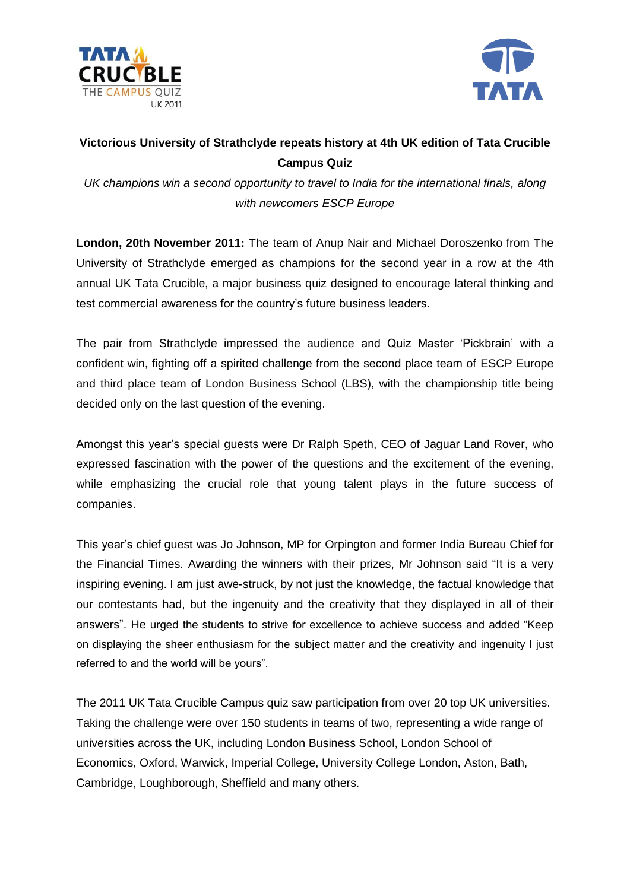



# **Victorious University of Strathclyde repeats history at 4th UK edition of Tata Crucible Campus Quiz**

*UK champions win a second opportunity to travel to India for the international finals, along with newcomers ESCP Europe*

**London, 20th November 2011:** The team of Anup Nair and Michael Doroszenko from The University of Strathclyde emerged as champions for the second year in a row at the 4th annual UK Tata Crucible, a major business quiz designed to encourage lateral thinking and test commercial awareness for the country's future business leaders.

The pair from Strathclyde impressed the audience and Quiz Master 'Pickbrain' with a confident win, fighting off a spirited challenge from the second place team of ESCP Europe and third place team of London Business School (LBS), with the championship title being decided only on the last question of the evening.

Amongst this year's special guests were Dr Ralph Speth, CEO of Jaguar Land Rover, who expressed fascination with the power of the questions and the excitement of the evening, while emphasizing the crucial role that young talent plays in the future success of companies.

This year's chief guest was Jo Johnson, MP for Orpington and former India Bureau Chief for the Financial Times. Awarding the winners with their prizes, Mr Johnson said "It is a very inspiring evening. I am just awe-struck, by not just the knowledge, the factual knowledge that our contestants had, but the ingenuity and the creativity that they displayed in all of their answers". He urged the students to strive for excellence to achieve success and added "Keep on displaying the sheer enthusiasm for the subject matter and the creativity and ingenuity I just referred to and the world will be yours".

The 2011 UK Tata Crucible Campus quiz saw participation from over 20 top UK universities. Taking the challenge were over 150 students in teams of two, representing a wide range of universities across the UK, including London Business School, London School of Economics, Oxford, Warwick, Imperial College, University College London, Aston, Bath, Cambridge, Loughborough, Sheffield and many others.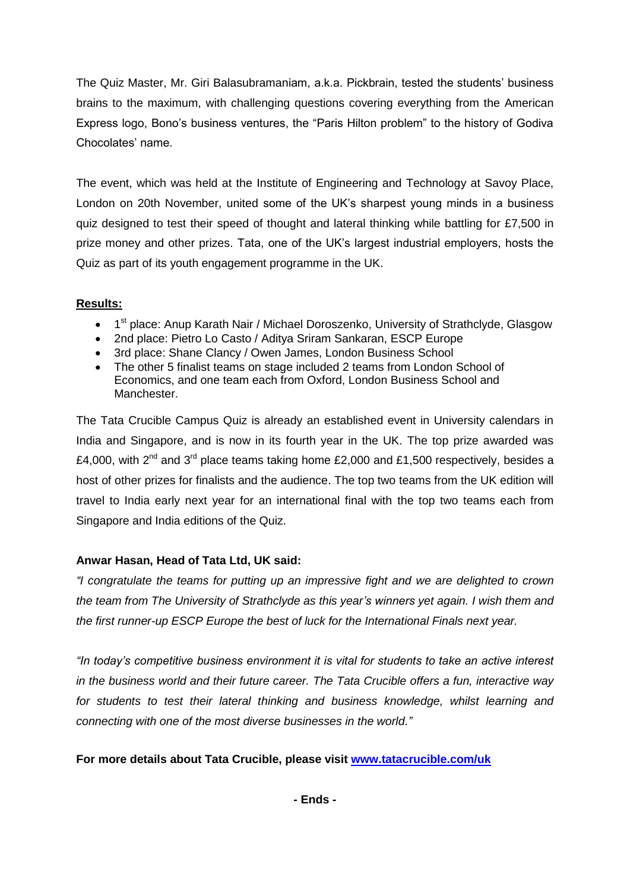The Quiz Master, Mr. Giri Balasubramaniam, a.k.a. Pickbrain, tested the students' business brains to the maximum, with challenging questions covering everything from the American Express logo, Bono's business ventures, the "Paris Hilton problem" to the history of Godiva Chocolates' name.

The event, which was held at the Institute of Engineering and Technology at Savoy Place, London on 20th November, united some of the UK's sharpest young minds in a business quiz designed to test their speed of thought and lateral thinking while battling for £7,500 in prize money and other prizes. Tata, one of the UK's largest industrial employers, hosts the Quiz as part of its youth engagement programme in the UK.

### **Results:**

- 1<sup>st</sup> place: Anup Karath Nair / Michael Doroszenko, University of Strathclyde, Glasgow
- 2nd place: Pietro Lo Casto / Aditya Sriram Sankaran, ESCP Europe
- 3rd place: Shane Clancy / Owen James, London Business School
- The other 5 finalist teams on stage included 2 teams from London School of Economics, and one team each from Oxford, London Business School and Manchester.

The Tata Crucible Campus Quiz is already an established event in University calendars in India and Singapore, and is now in its fourth year in the UK. The top prize awarded was £4,000, with  $2^{nd}$  and  $3^{rd}$  place teams taking home £2,000 and £1,500 respectively, besides a host of other prizes for finalists and the audience. The top two teams from the UK edition will travel to India early next year for an international final with the top two teams each from Singapore and India editions of the Quiz.

## **Anwar Hasan, Head of Tata Ltd, UK said:**

*"I congratulate the teams for putting up an impressive fight and we are delighted to crown the team from The University of Strathclyde as this year's winners yet again. I wish them and the first runner-up ESCP Europe the best of luck for the International Finals next year.* 

*"In today's competitive business environment it is vital for students to take an active interest in the business world and their future career. The Tata Crucible offers a fun, interactive way for students to test their lateral thinking and business knowledge, whilst learning and connecting with one of the most diverse businesses in the world."*

## **For more details about Tata Crucible, please visit [www.tatacrucible.com/uk](http://www.tatacrucible.com/uk)**